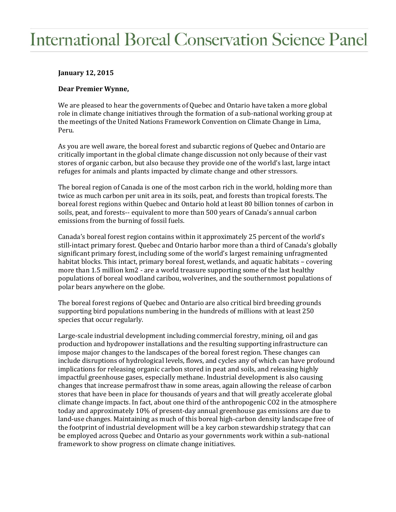## **International Boreal Conservation Science Panel**

## **January 12, 2015**

## **Dear Premier Wynne,**

We are pleased to hear the governments of Quebec and Ontario have taken a more global role in climate change initiatives through the formation of a sub-national working group at the meetings of the United Nations Framework Convention on Climate Change in Lima, Peru.

As you are well aware, the boreal forest and subarctic regions of Quebec and Ontario are critically important in the global climate change discussion not only because of their vast stores of organic carbon, but also because they provide one of the world's last, large intact refuges for animals and plants impacted by climate change and other stressors.

The boreal region of Canada is one of the most carbon rich in the world, holding more than twice as much carbon per unit area in its soils, peat, and forests than tropical forests. The boreal forest regions within Quebec and Ontario hold at least 80 billion tonnes of carbon in soils, peat, and forests-- equivalent to more than 500 years of Canada's annual carbon emissions from the burning of fossil fuels.

Canada's boreal forest region contains within it approximately 25 percent of the world's still-intact primary forest. Quebec and Ontario harbor more than a third of Canada's globally significant primary forest, including some of the world's largest remaining unfragmented habitat blocks. This intact, primary boreal forest, wetlands, and aquatic habitats – covering more than 1.5 million km2 - are a world treasure supporting some of the last healthy populations of boreal woodland caribou, wolverines, and the southernmost populations of polar bears anywhere on the globe.

The boreal forest regions of Quebec and Ontario are also critical bird breeding grounds supporting bird populations numbering in the hundreds of millions with at least 250 species that occur regularly.

Large-scale industrial development including commercial forestry, mining, oil and gas production and hydropower installations and the resulting supporting infrastructure can impose major changes to the landscapes of the boreal forest region. These changes can include disruptions of hydrological levels, flows, and cycles any of which can have profound implications for releasing organic carbon stored in peat and soils, and releasing highly impactful greenhouse gases, especially methane. Industrial development is also causing changes that increase permafrost thaw in some areas, again allowing the release of carbon stores that have been in place for thousands of years and that will greatly accelerate global climate change impacts. In fact, about one third of the anthropogenic CO2 in the atmosphere today and approximately 10% of present-day annual greenhouse gas emissions are due to land-use changes. Maintaining as much of this boreal high-carbon density landscape free of the footprint of industrial development will be a key carbon stewardship strategy that can be employed across Quebec and Ontario as your governments work within a sub-national framework to show progress on climate change initiatives.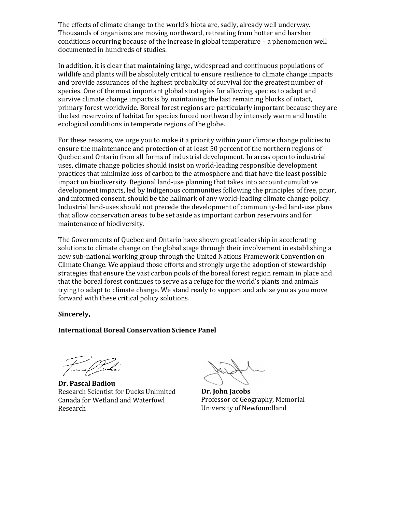The effects of climate change to the world's biota are, sadly, already well underway. Thousands of organisms are moving northward, retreating from hotter and harsher conditions occurring because of the increase in global temperature – a phenomenon well documented in hundreds of studies.

In addition, it is clear that maintaining large, widespread and continuous populations of wildlife and plants will be absolutely critical to ensure resilience to climate change impacts and provide assurances of the highest probability of survival for the greatest number of species. One of the most important global strategies for allowing species to adapt and survive climate change impacts is by maintaining the last remaining blocks of intact, primary forest worldwide. Boreal forest regions are particularly important because they are the last reservoirs of habitat for species forced northward by intensely warm and hostile ecological conditions in temperate regions of the globe.

For these reasons, we urge you to make it a priority within your climate change policies to ensure the maintenance and protection of at least 50 percent of the northern regions of Quebec and Ontario from all forms of industrial development. In areas open to industrial uses, climate change policies should insist on world-leading responsible development practices that minimize loss of carbon to the atmosphere and that have the least possible impact on biodiversity. Regional land-use planning that takes into account cumulative development impacts, led by Indigenous communities following the principles of free, prior, and informed consent, should be the hallmark of any world-leading climate change policy. Industrial land-uses should not precede the development of community-led land-use plans that allow conservation areas to be set aside as important carbon reservoirs and for maintenance of biodiversity.

The Governments of Quebec and Ontario have shown great leadership in accelerating solutions to climate change on the global stage through their involvement in establishing a new sub-national working group through the United Nations Framework Convention on Climate Change. We applaud those efforts and strongly urge the adoption of stewardship strategies that ensure the vast carbon pools of the boreal forest region remain in place and that the boreal forest continues to serve as a refuge for the world's plants and animals trying to adapt to climate change. We stand ready to support and advise you as you move forward with these critical policy solutions.

**Sincerely,**

**International Boreal Conservation Science Panel**

**Dr. Pascal Badiou** Research Scientist for Ducks Unlimited Canada for Wetland and Waterfowl Research

**Dr. John Jacobs** Professor of Geography, Memorial University of Newfoundland